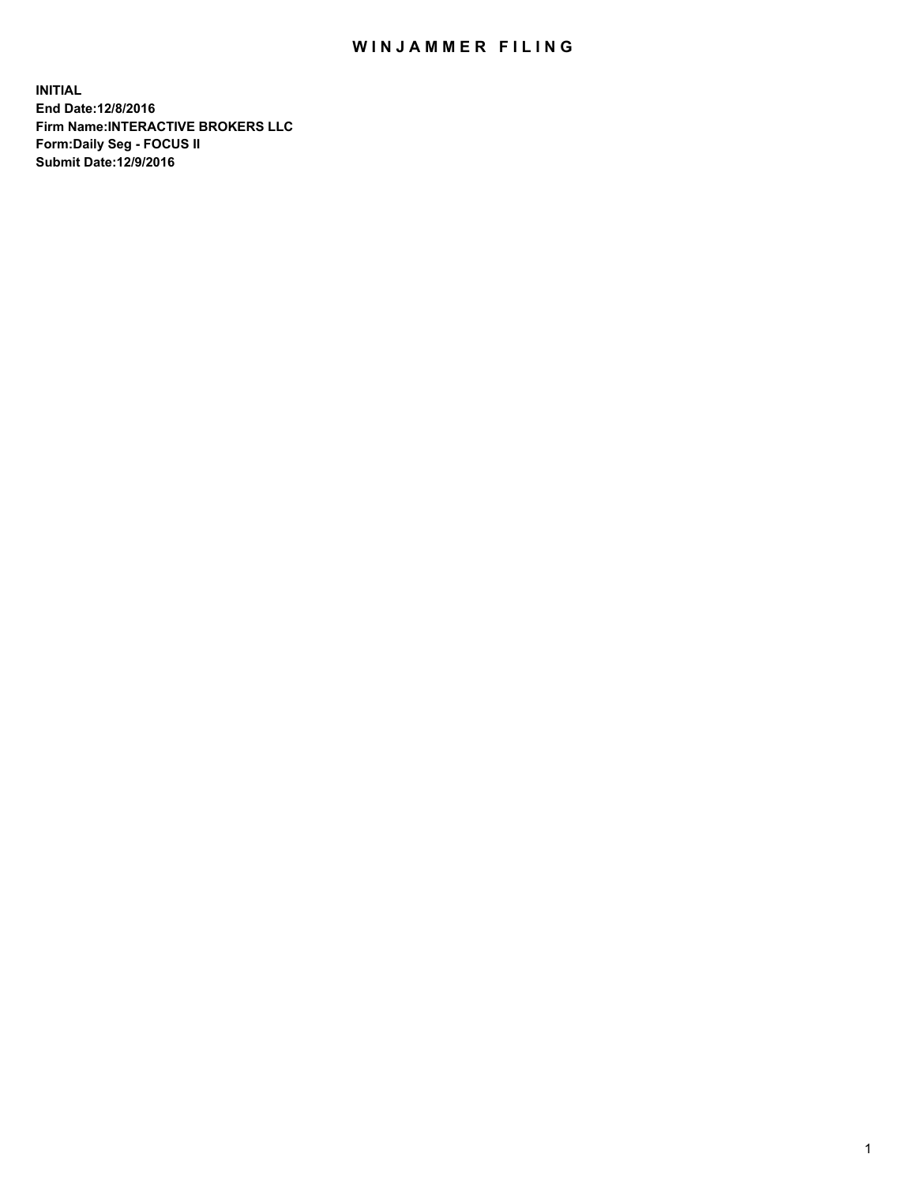## WIN JAMMER FILING

**INITIAL End Date:12/8/2016 Firm Name:INTERACTIVE BROKERS LLC Form:Daily Seg - FOCUS II Submit Date:12/9/2016**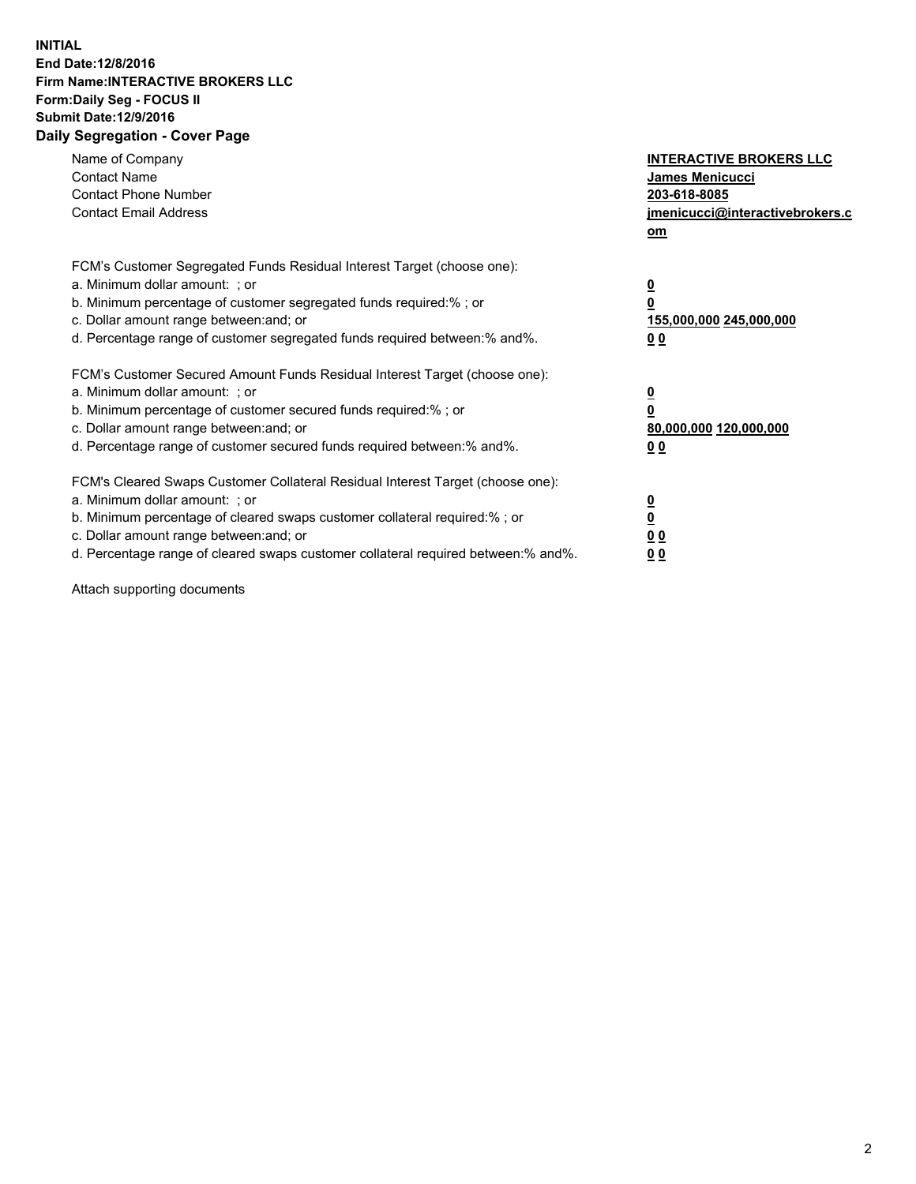## **INITIAL End Date:12/8/2016 Firm Name:INTERACTIVE BROKERS LLC Form:Daily Seg - FOCUS II Submit Date:12/9/2016 Daily Segregation - Cover Page**

| Name of Company<br><b>Contact Name</b><br><b>Contact Phone Number</b><br><b>Contact Email Address</b>                                                                                                                                                                                                                          | <b>INTERACTIVE BROKERS LLC</b><br><b>James Menicucci</b><br>203-618-8085<br>jmenicucci@interactivebrokers.c<br>om |
|--------------------------------------------------------------------------------------------------------------------------------------------------------------------------------------------------------------------------------------------------------------------------------------------------------------------------------|-------------------------------------------------------------------------------------------------------------------|
| FCM's Customer Segregated Funds Residual Interest Target (choose one):<br>a. Minimum dollar amount: ; or<br>b. Minimum percentage of customer segregated funds required:% ; or<br>c. Dollar amount range between: and; or<br>d. Percentage range of customer segregated funds required between:% and%.                         | $\overline{\mathbf{0}}$<br>0<br>155,000,000 245,000,000<br>0 <sub>0</sub>                                         |
| FCM's Customer Secured Amount Funds Residual Interest Target (choose one):<br>a. Minimum dollar amount: ; or<br>b. Minimum percentage of customer secured funds required:%; or<br>c. Dollar amount range between: and; or<br>d. Percentage range of customer secured funds required between: % and %.                          | $\overline{\mathbf{0}}$<br>$\overline{\mathbf{0}}$<br>80,000,000 120,000,000<br>00                                |
| FCM's Cleared Swaps Customer Collateral Residual Interest Target (choose one):<br>a. Minimum dollar amount: ; or<br>b. Minimum percentage of cleared swaps customer collateral required:% ; or<br>c. Dollar amount range between: and; or<br>d. Percentage range of cleared swaps customer collateral required between:% and%. | $\overline{\mathbf{0}}$<br>$\overline{\mathbf{0}}$<br>0 <sub>0</sub><br>0 <sub>0</sub>                            |

Attach supporting documents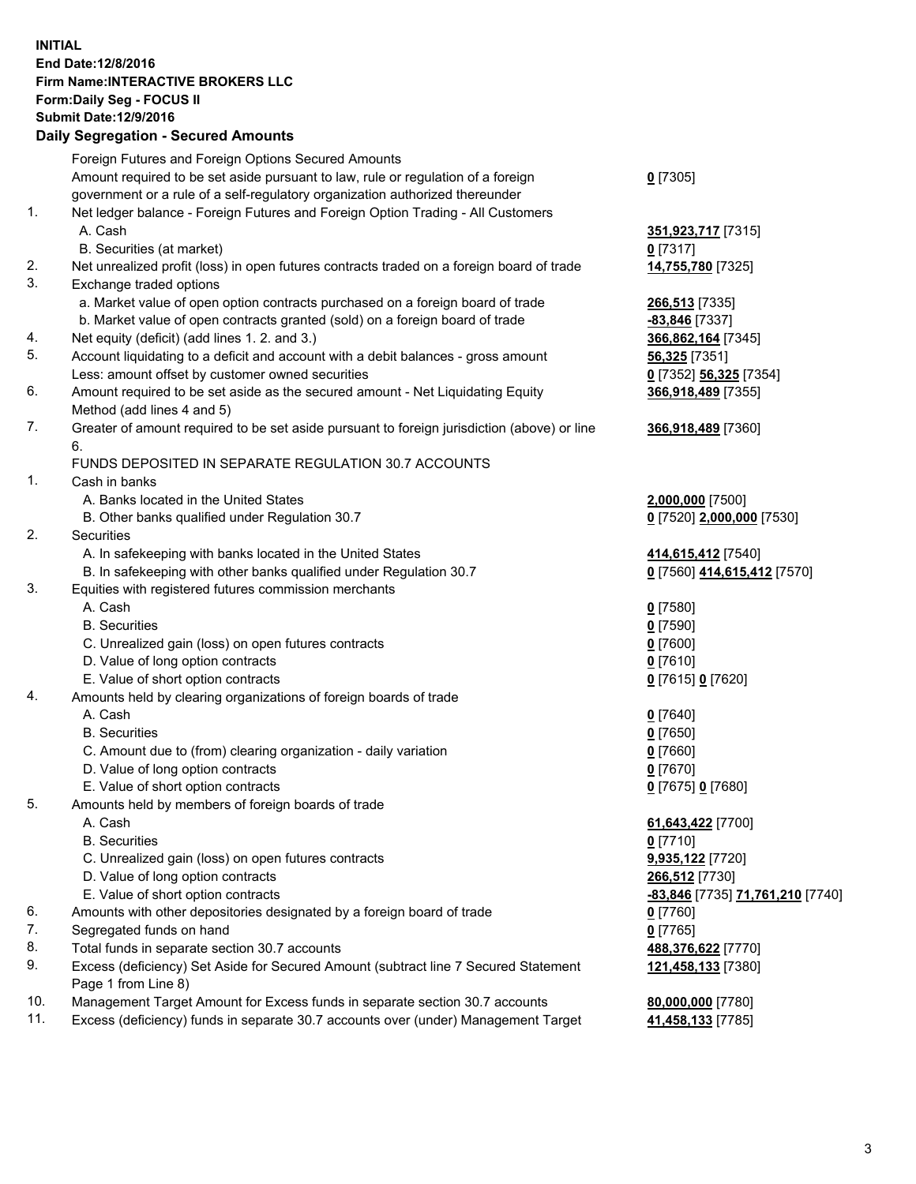## **INITIAL End Date:12/8/2016 Firm Name:INTERACTIVE BROKERS LLC Form:Daily Seg - FOCUS II Submit Date:12/9/2016 Daily Segregation - Secured Amounts**

|     | Daily Jegregation - Jeculed Aniounts                                                        |                                                    |
|-----|---------------------------------------------------------------------------------------------|----------------------------------------------------|
|     | Foreign Futures and Foreign Options Secured Amounts                                         |                                                    |
|     | Amount required to be set aside pursuant to law, rule or regulation of a foreign            | $0$ [7305]                                         |
|     | government or a rule of a self-regulatory organization authorized thereunder                |                                                    |
| 1.  | Net ledger balance - Foreign Futures and Foreign Option Trading - All Customers             |                                                    |
|     | A. Cash                                                                                     | 351,923,717 [7315]                                 |
|     | B. Securities (at market)                                                                   | 0 [7317]                                           |
| 2.  | Net unrealized profit (loss) in open futures contracts traded on a foreign board of trade   | 14,755,780 [7325]                                  |
| 3.  | Exchange traded options                                                                     |                                                    |
|     | a. Market value of open option contracts purchased on a foreign board of trade              | 266,513 [7335]                                     |
|     | b. Market value of open contracts granted (sold) on a foreign board of trade                | -83,846 [7337]                                     |
| 4.  | Net equity (deficit) (add lines 1.2. and 3.)                                                | 366,862,164 [7345]                                 |
| 5.  | Account liquidating to a deficit and account with a debit balances - gross amount           | 56,325 [7351]                                      |
|     | Less: amount offset by customer owned securities                                            | 0 [7352] 56,325 [7354]                             |
| 6.  | Amount required to be set aside as the secured amount - Net Liquidating Equity              | 366,918,489 [7355]                                 |
|     | Method (add lines 4 and 5)                                                                  |                                                    |
| 7.  | Greater of amount required to be set aside pursuant to foreign jurisdiction (above) or line | 366,918,489 [7360]                                 |
|     | 6.                                                                                          |                                                    |
|     | FUNDS DEPOSITED IN SEPARATE REGULATION 30.7 ACCOUNTS                                        |                                                    |
| 1.  | Cash in banks                                                                               |                                                    |
|     | A. Banks located in the United States                                                       | 2,000,000 [7500]                                   |
|     | B. Other banks qualified under Regulation 30.7                                              | 0 [7520] 2,000,000 [7530]                          |
| 2.  | Securities                                                                                  |                                                    |
|     | A. In safekeeping with banks located in the United States                                   | 414,615,412 [7540]                                 |
|     | B. In safekeeping with other banks qualified under Regulation 30.7                          | 0 [7560] 414,615,412 [7570]                        |
| 3.  | Equities with registered futures commission merchants                                       |                                                    |
|     | A. Cash                                                                                     | $0$ [7580]                                         |
|     | <b>B.</b> Securities                                                                        | $0$ [7590]                                         |
|     | C. Unrealized gain (loss) on open futures contracts                                         | $0$ [7600]                                         |
|     | D. Value of long option contracts                                                           | $0$ [7610]                                         |
|     | E. Value of short option contracts                                                          | 0 [7615] 0 [7620]                                  |
| 4.  | Amounts held by clearing organizations of foreign boards of trade                           |                                                    |
|     | A. Cash                                                                                     | $0$ [7640]                                         |
|     | <b>B.</b> Securities                                                                        | $0$ [7650]                                         |
|     | C. Amount due to (from) clearing organization - daily variation                             | $0$ [7660]                                         |
|     | D. Value of long option contracts                                                           | $0$ [7670]                                         |
|     | E. Value of short option contracts                                                          | 0 [7675] 0 [7680]                                  |
| 5.  | Amounts held by members of foreign boards of trade<br>A. Cash                               |                                                    |
|     | <b>B.</b> Securities                                                                        | 61,643,422 [7700]                                  |
|     |                                                                                             | $0$ [7710]                                         |
|     | C. Unrealized gain (loss) on open futures contracts<br>D. Value of long option contracts    | 9,935,122 [7720]                                   |
|     | E. Value of short option contracts                                                          | 266,512 [7730]<br>-83,846 [7735] 71,761,210 [7740] |
| 6.  | Amounts with other depositories designated by a foreign board of trade                      |                                                    |
| 7.  | Segregated funds on hand                                                                    | 0 [7760]<br>$0$ [7765]                             |
| 8.  | Total funds in separate section 30.7 accounts                                               | 488,376,622 [7770]                                 |
| 9.  | Excess (deficiency) Set Aside for Secured Amount (subtract line 7 Secured Statement         | 121,458,133 [7380]                                 |
|     | Page 1 from Line 8)                                                                         |                                                    |
| 10. | Management Target Amount for Excess funds in separate section 30.7 accounts                 | 80,000,000 [7780]                                  |
| 11. | Excess (deficiency) funds in separate 30.7 accounts over (under) Management Target          | 41,458,133 [7785]                                  |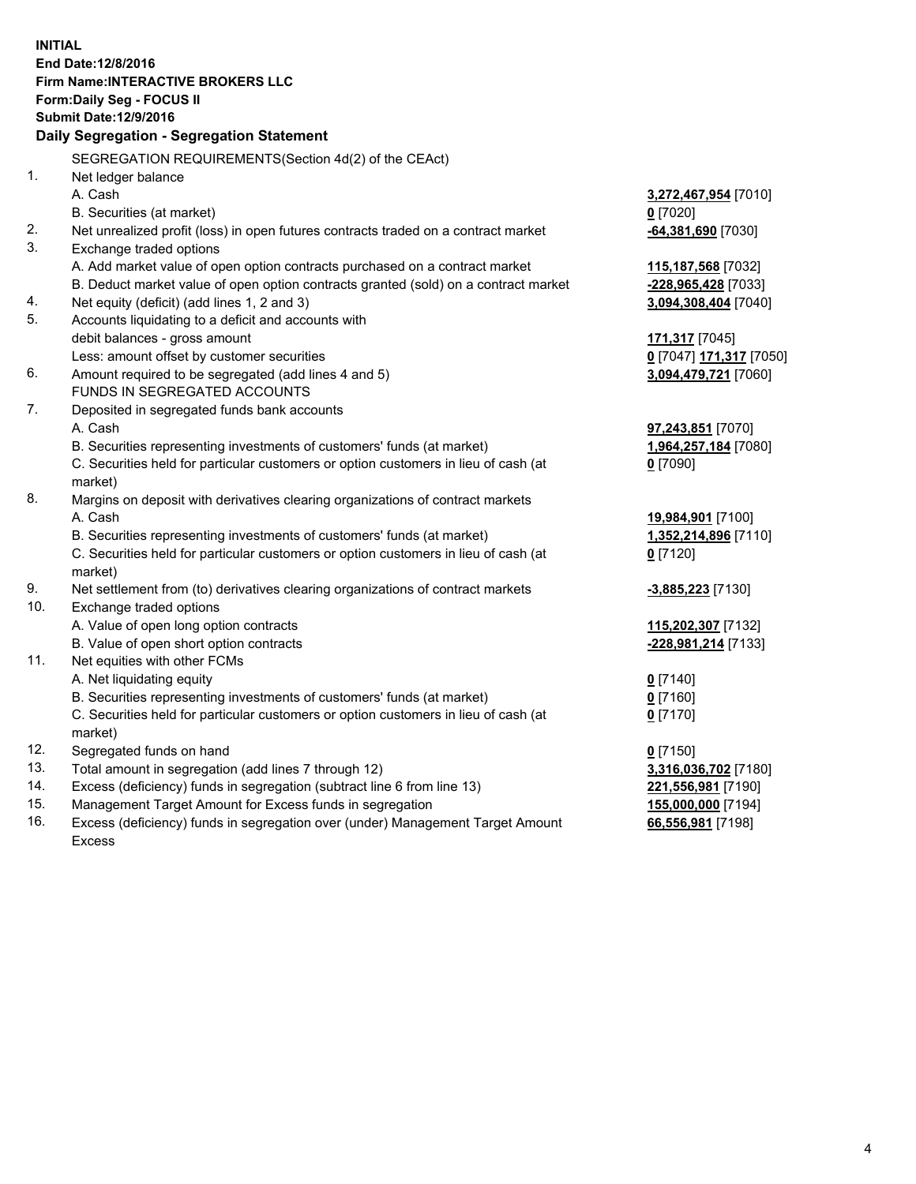**INITIAL End Date:12/8/2016 Firm Name:INTERACTIVE BROKERS LLC Form:Daily Seg - FOCUS II Submit Date:12/9/2016 Daily Segregation - Segregation Statement** SEGREGATION REQUIREMENTS(Section 4d(2) of the CEAct) 1. Net ledger balance A. Cash **3,272,467,954** [7010] B. Securities (at market) **0** [7020] 2. Net unrealized profit (loss) in open futures contracts traded on a contract market **-64,381,690** [7030] 3. Exchange traded options A. Add market value of open option contracts purchased on a contract market **115,187,568** [7032] B. Deduct market value of open option contracts granted (sold) on a contract market **-228,965,428** [7033] 4. Net equity (deficit) (add lines 1, 2 and 3) **3,094,308,404** [7040] 5. Accounts liquidating to a deficit and accounts with debit balances - gross amount **171,317** [7045] Less: amount offset by customer securities **0** [7047] **171,317** [7050] 6. Amount required to be segregated (add lines 4 and 5) **3,094,479,721** [7060] FUNDS IN SEGREGATED ACCOUNTS 7. Deposited in segregated funds bank accounts A. Cash **97,243,851** [7070] B. Securities representing investments of customers' funds (at market) **1,964,257,184** [7080] C. Securities held for particular customers or option customers in lieu of cash (at market) **0** [7090] 8. Margins on deposit with derivatives clearing organizations of contract markets A. Cash **19,984,901** [7100] B. Securities representing investments of customers' funds (at market) **1,352,214,896** [7110] C. Securities held for particular customers or option customers in lieu of cash (at market) **0** [7120] 9. Net settlement from (to) derivatives clearing organizations of contract markets **-3,885,223** [7130] 10. Exchange traded options A. Value of open long option contracts **115,202,307** [7132] B. Value of open short option contracts **-228,981,214** [7133] 11. Net equities with other FCMs A. Net liquidating equity **0** [7140] B. Securities representing investments of customers' funds (at market) **0** [7160] C. Securities held for particular customers or option customers in lieu of cash (at market) **0** [7170] 12. Segregated funds on hand **0** [7150] 13. Total amount in segregation (add lines 7 through 12) **3,316,036,702** [7180] 14. Excess (deficiency) funds in segregation (subtract line 6 from line 13) **221,556,981** [7190] 15. Management Target Amount for Excess funds in segregation **155,000,000** [7194] **66,556,981** [7198]

16. Excess (deficiency) funds in segregation over (under) Management Target Amount Excess